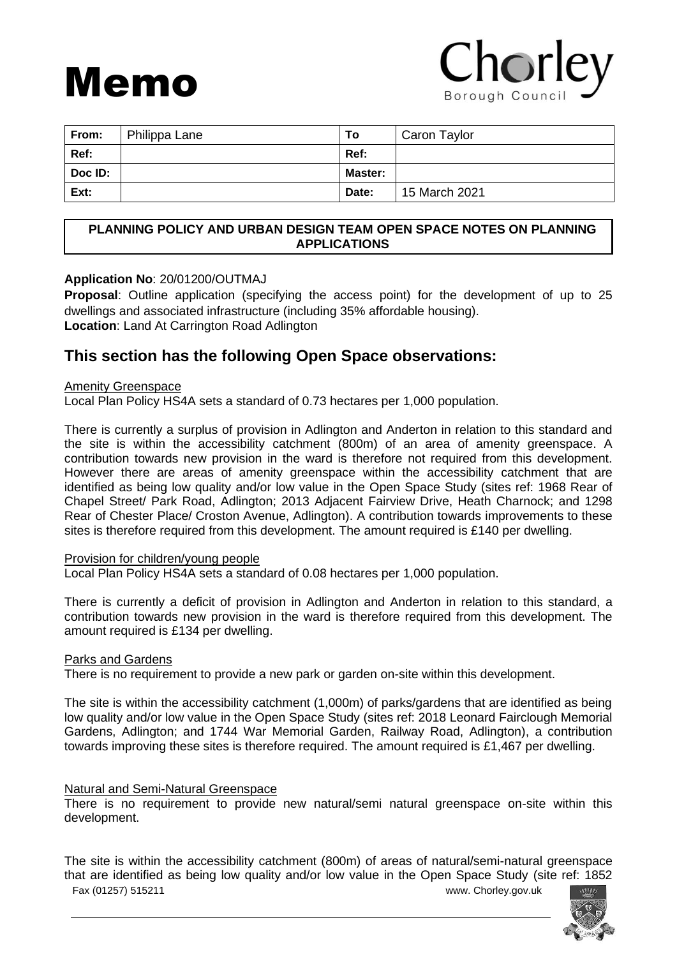# Memo

## Chorley Borough Counci

| From:   | Philippa Lane | Т٥             | Caron Taylor  |
|---------|---------------|----------------|---------------|
| Ref:    |               | Ref:           |               |
| Doc ID: |               | <b>Master:</b> |               |
| Ext:    |               | Date:          | 15 March 2021 |

#### **PLANNING POLICY AND URBAN DESIGN TEAM OPEN SPACE NOTES ON PLANNING APPLICATIONS**

#### **Application No**: 20/01200/OUTMAJ

**Proposal**: Outline application (specifying the access point) for the development of up to 25 dwellings and associated infrastructure (including 35% affordable housing). **Location**: Land At Carrington Road Adlington

### **This section has the following Open Space observations:**

#### Amenity Greenspace

Local Plan Policy HS4A sets a standard of 0.73 hectares per 1,000 population.

There is currently a surplus of provision in Adlington and Anderton in relation to this standard and the site is within the accessibility catchment (800m) of an area of amenity greenspace. A contribution towards new provision in the ward is therefore not required from this development. However there are areas of amenity greenspace within the accessibility catchment that are identified as being low quality and/or low value in the Open Space Study (sites ref: 1968 Rear of Chapel Street/ Park Road, Adlington; 2013 Adjacent Fairview Drive, Heath Charnock; and 1298 Rear of Chester Place/ Croston Avenue, Adlington). A contribution towards improvements to these sites is therefore required from this development. The amount required is £140 per dwelling.

#### Provision for children/young people

Local Plan Policy HS4A sets a standard of 0.08 hectares per 1,000 population.

There is currently a deficit of provision in Adlington and Anderton in relation to this standard, a contribution towards new provision in the ward is therefore required from this development. The amount required is £134 per dwelling.

#### Parks and Gardens

There is no requirement to provide a new park or garden on-site within this development.

The site is within the accessibility catchment (1,000m) of parks/gardens that are identified as being low quality and/or low value in the Open Space Study (sites ref: 2018 Leonard Fairclough Memorial Gardens, Adlington; and 1744 War Memorial Garden, Railway Road, Adlington), a contribution towards improving these sites is therefore required. The amount required is £1,467 per dwelling.

#### Natural and Semi-Natural Greenspace

There is no requirement to provide new natural/semi natural greenspace on-site within this development.

Fax (01257) 515211 www. Chorley.gov.uk The site is within the accessibility catchment (800m) of areas of natural/semi-natural greenspace that are identified as being low quality and/or low value in the Open Space Study (site ref: 1852